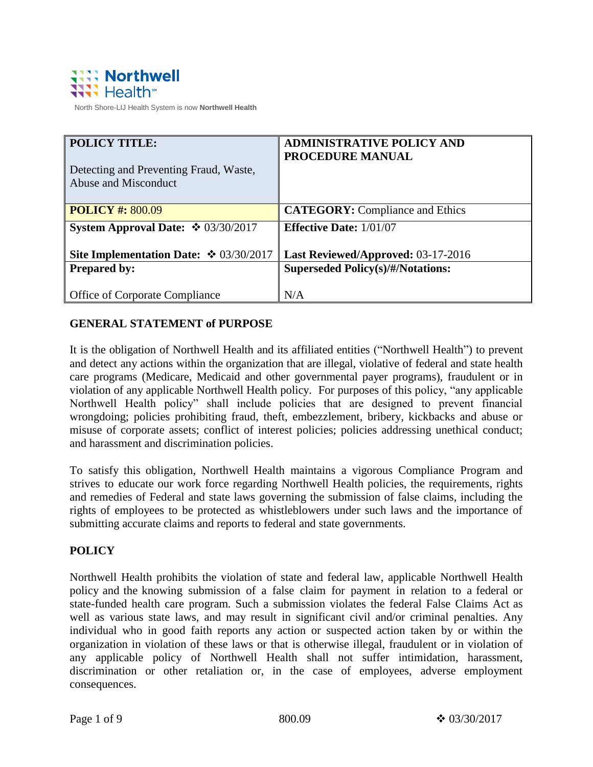

North Shore-LIJ Health System is now **Northwell Health**

| <b>POLICY TITLE:</b>                                           | <b>ADMINISTRATIVE POLICY AND</b><br><b>PROCEDURE MANUAL</b> |
|----------------------------------------------------------------|-------------------------------------------------------------|
| Detecting and Preventing Fraud, Waste,<br>Abuse and Misconduct |                                                             |
| <b>POLICY #: 800.09</b>                                        | <b>CATEGORY:</b> Compliance and Ethics                      |
| System Approval Date: $\div$ 03/30/2017                        | <b>Effective Date: 1/01/07</b>                              |
| Site Implementation Date: $\div$ 03/30/2017                    | Last Reviewed/Approved: 03-17-2016                          |
| <b>Prepared by:</b>                                            | <b>Superseded Policy(s)/#/Notations:</b>                    |
| Office of Corporate Compliance                                 | N/A                                                         |

### **GENERAL STATEMENT of PURPOSE**

It is the obligation of Northwell Health and its affiliated entities ("Northwell Health") to prevent and detect any actions within the organization that are illegal, violative of federal and state health care programs (Medicare, Medicaid and other governmental payer programs), fraudulent or in violation of any applicable Northwell Health policy. For purposes of this policy, "any applicable Northwell Health policy" shall include policies that are designed to prevent financial wrongdoing; policies prohibiting fraud, theft, embezzlement, bribery, kickbacks and abuse or misuse of corporate assets; conflict of interest policies; policies addressing unethical conduct; and harassment and discrimination policies.

To satisfy this obligation, Northwell Health maintains a vigorous Compliance Program and strives to educate our work force regarding Northwell Health policies, the requirements, rights and remedies of Federal and state laws governing the submission of false claims, including the rights of employees to be protected as whistleblowers under such laws and the importance of submitting accurate claims and reports to federal and state governments.

### **POLICY**

Northwell Health prohibits the violation of state and federal law, applicable Northwell Health policy and the knowing submission of a false claim for payment in relation to a federal or state-funded health care program. Such a submission violates the federal False Claims Act as well as various state laws, and may result in significant civil and/or criminal penalties. Any individual who in good faith reports any action or suspected action taken by or within the organization in violation of these laws or that is otherwise illegal, fraudulent or in violation of any applicable policy of Northwell Health shall not suffer intimidation, harassment, discrimination or other retaliation or, in the case of employees, adverse employment consequences.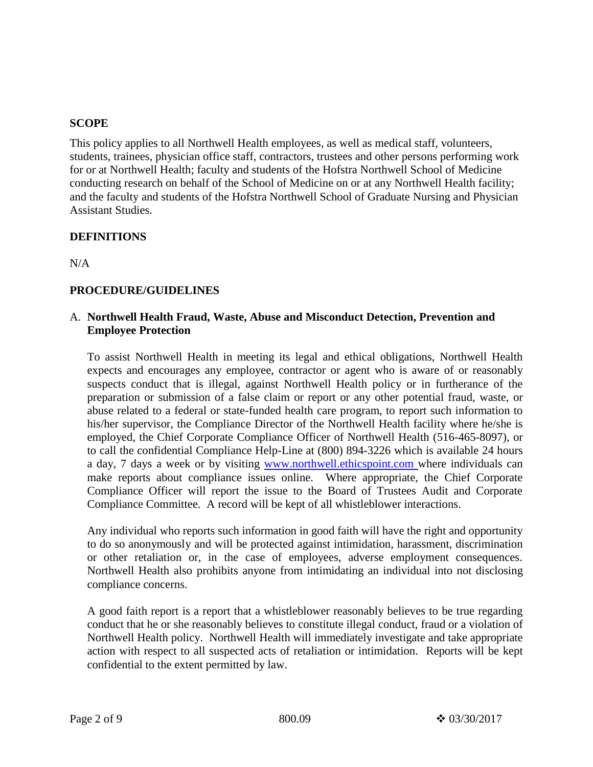## **SCOPE**

This policy applies to all Northwell Health employees, as well as medical staff, volunteers, students, trainees, physician office staff, contractors, trustees and other persons performing work for or at Northwell Health; faculty and students of the Hofstra Northwell School of Medicine conducting research on behalf of the School of Medicine on or at any Northwell Health facility; and the faculty and students of the Hofstra Northwell School of Graduate Nursing and Physician Assistant Studies.

## **DEFINITIONS**

 $N/A$ 

## **PROCEDURE/GUIDELINES**

### A. **Northwell Health Fraud, Waste, Abuse and Misconduct Detection, Prevention and Employee Protection**

To assist Northwell Health in meeting its legal and ethical obligations, Northwell Health expects and encourages any employee, contractor or agent who is aware of or reasonably suspects conduct that is illegal, against Northwell Health policy or in furtherance of the preparation or submission of a false claim or report or any other potential fraud, waste, or abuse related to a federal or state-funded health care program, to report such information to his/her supervisor, the Compliance Director of the Northwell Health facility where he/she is employed, the Chief Corporate Compliance Officer of Northwell Health (516-465-8097), or to call the confidential Compliance Help-Line at (800) 894-3226 which is available 24 hours a day, 7 days a week or by visiting www.northwell.ethicspoint.com where individuals can make reports about compliance issues online. Where appropriate, the Chief Corporate Compliance Officer will report the issue to the Board of Trustees Audit and Corporate Compliance Committee. A record will be kept of all whistleblower interactions.

Any individual who reports such information in good faith will have the right and opportunity to do so anonymously and will be protected against intimidation, harassment, discrimination or other retaliation or, in the case of employees, adverse employment consequences. Northwell Health also prohibits anyone from intimidating an individual into not disclosing compliance concerns.

A good faith report is a report that a whistleblower reasonably believes to be true regarding conduct that he or she reasonably believes to constitute illegal conduct, fraud or a violation of Northwell Health policy. Northwell Health will immediately investigate and take appropriate action with respect to all suspected acts of retaliation or intimidation. Reports will be kept confidential to the extent permitted by law.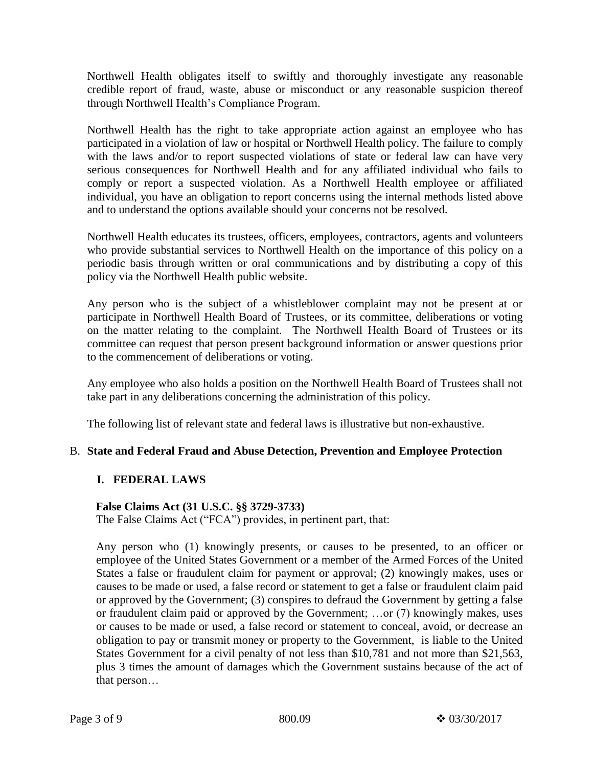Northwell Health obligates itself to swiftly and thoroughly investigate any reasonable credible report of fraud, waste, abuse or misconduct or any reasonable suspicion thereof through Northwell Health's Compliance Program.

Northwell Health has the right to take appropriate action against an employee who has participated in a violation of law or hospital or Northwell Health policy. The failure to comply with the laws and/or to report suspected violations of state or federal law can have very serious consequences for Northwell Health and for any affiliated individual who fails to comply or report a suspected violation. As a Northwell Health employee or affiliated individual, you have an obligation to report concerns using the internal methods listed above and to understand the options available should your concerns not be resolved.

Northwell Health educates its trustees, officers, employees, contractors, agents and volunteers who provide substantial services to Northwell Health on the importance of this policy on a periodic basis through written or oral communications and by distributing a copy of this policy via the Northwell Health public website.

Any person who is the subject of a whistleblower complaint may not be present at or participate in Northwell Health Board of Trustees, or its committee, deliberations or voting on the matter relating to the complaint. The Northwell Health Board of Trustees or its committee can request that person present background information or answer questions prior to the commencement of deliberations or voting.

Any employee who also holds a position on the Northwell Health Board of Trustees shall not take part in any deliberations concerning the administration of this policy.

The following list of relevant state and federal laws is illustrative but non-exhaustive.

# B. **State and Federal Fraud and Abuse Detection, Prevention and Employee Protection**

# **I. FEDERAL LAWS**

## **False Claims Act (31 U.S.C. §§ 3729-3733)**

The False Claims Act ("FCA") provides, in pertinent part, that:

Any person who (1) knowingly presents, or causes to be presented, to an officer or employee of the United States Government or a member of the Armed Forces of the United States a false or fraudulent claim for payment or approval; (2) knowingly makes, uses or causes to be made or used, a false record or statement to get a false or fraudulent claim paid or approved by the Government; (3) conspires to defraud the Government by getting a false or fraudulent claim paid or approved by the Government; …or (7) knowingly makes, uses or causes to be made or used, a false record or statement to conceal, avoid, or decrease an obligation to pay or transmit money or property to the Government, is liable to the United States Government for a civil penalty of not less than \$10,781 and not more than \$21,563, plus 3 times the amount of damages which the Government sustains because of the act of that person…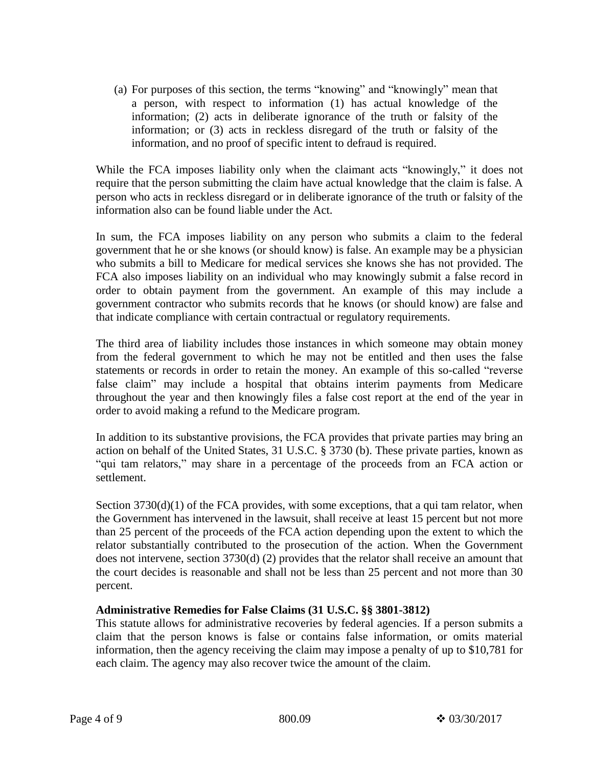(a) For purposes of this section, the terms "knowing" and "knowingly" mean that a person, with respect to information (1) has actual knowledge of the information; (2) acts in deliberate ignorance of the truth or falsity of the information; or (3) acts in reckless disregard of the truth or falsity of the information, and no proof of specific intent to defraud is required.

While the FCA imposes liability only when the claimant acts "knowingly," it does not require that the person submitting the claim have actual knowledge that the claim is false. A person who acts in reckless disregard or in deliberate ignorance of the truth or falsity of the information also can be found liable under the Act.

In sum, the FCA imposes liability on any person who submits a claim to the federal government that he or she knows (or should know) is false. An example may be a physician who submits a bill to Medicare for medical services she knows she has not provided. The FCA also imposes liability on an individual who may knowingly submit a false record in order to obtain payment from the government. An example of this may include a government contractor who submits records that he knows (or should know) are false and that indicate compliance with certain contractual or regulatory requirements.

The third area of liability includes those instances in which someone may obtain money from the federal government to which he may not be entitled and then uses the false statements or records in order to retain the money. An example of this so-called "reverse false claim" may include a hospital that obtains interim payments from Medicare throughout the year and then knowingly files a false cost report at the end of the year in order to avoid making a refund to the Medicare program.

In addition to its substantive provisions, the FCA provides that private parties may bring an action on behalf of the United States, 31 U.S.C. § 3730 (b). These private parties, known as "qui tam relators," may share in a percentage of the proceeds from an FCA action or settlement.

Section  $3730(d)(1)$  of the FCA provides, with some exceptions, that a qui tam relator, when the Government has intervened in the lawsuit, shall receive at least 15 percent but not more than 25 percent of the proceeds of the FCA action depending upon the extent to which the relator substantially contributed to the prosecution of the action. When the Government does not intervene, section 3730(d) (2) provides that the relator shall receive an amount that the court decides is reasonable and shall not be less than 25 percent and not more than 30 percent.

## **Administrative Remedies for False Claims (31 U.S.C. §§ 3801-3812)**

This statute allows for administrative recoveries by federal agencies. If a person submits a claim that the person knows is false or contains false information, or omits material information, then the agency receiving the claim may impose a penalty of up to \$10,781 for each claim. The agency may also recover twice the amount of the claim.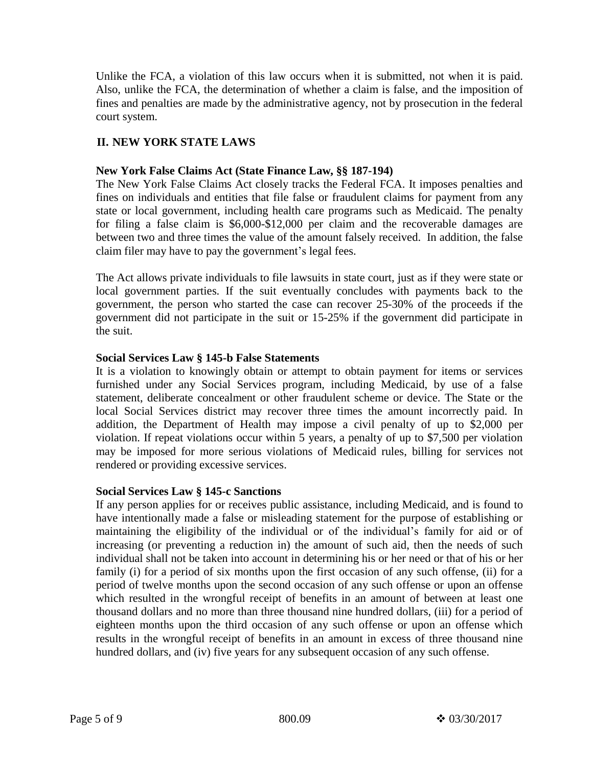Unlike the FCA, a violation of this law occurs when it is submitted, not when it is paid. Also, unlike the FCA, the determination of whether a claim is false, and the imposition of fines and penalties are made by the administrative agency, not by prosecution in the federal court system.

## **II. NEW YORK STATE LAWS**

### **New York False Claims Act (State Finance Law, §§ 187-194)**

The New York False Claims Act closely tracks the Federal FCA. It imposes penalties and fines on individuals and entities that file false or fraudulent claims for payment from any state or local government, including health care programs such as Medicaid. The penalty for filing a false claim is \$6,000-\$12,000 per claim and the recoverable damages are between two and three times the value of the amount falsely received. In addition, the false claim filer may have to pay the government's legal fees.

The Act allows private individuals to file lawsuits in state court, just as if they were state or local government parties. If the suit eventually concludes with payments back to the government, the person who started the case can recover 25-30% of the proceeds if the government did not participate in the suit or 15-25% if the government did participate in the suit.

### **Social Services Law § 145-b False Statements**

It is a violation to knowingly obtain or attempt to obtain payment for items or services furnished under any Social Services program, including Medicaid, by use of a false statement, deliberate concealment or other fraudulent scheme or device. The State or the local Social Services district may recover three times the amount incorrectly paid. In addition, the Department of Health may impose a civil penalty of up to \$2,000 per violation. If repeat violations occur within 5 years, a penalty of up to \$7,500 per violation may be imposed for more serious violations of Medicaid rules, billing for services not rendered or providing excessive services.

### **Social Services Law § 145-c Sanctions**

If any person applies for or receives public assistance, including Medicaid, and is found to have intentionally made a false or misleading statement for the purpose of establishing or maintaining the eligibility of the individual or of the individual's family for aid or of increasing (or preventing a reduction in) the amount of such aid, then the needs of such individual shall not be taken into account in determining his or her need or that of his or her family (i) for a period of six months upon the first occasion of any such offense, (ii) for a period of twelve months upon the second occasion of any such offense or upon an offense which resulted in the wrongful receipt of benefits in an amount of between at least one thousand dollars and no more than three thousand nine hundred dollars, (iii) for a period of eighteen months upon the third occasion of any such offense or upon an offense which results in the wrongful receipt of benefits in an amount in excess of three thousand nine hundred dollars, and (iv) five years for any subsequent occasion of any such offense.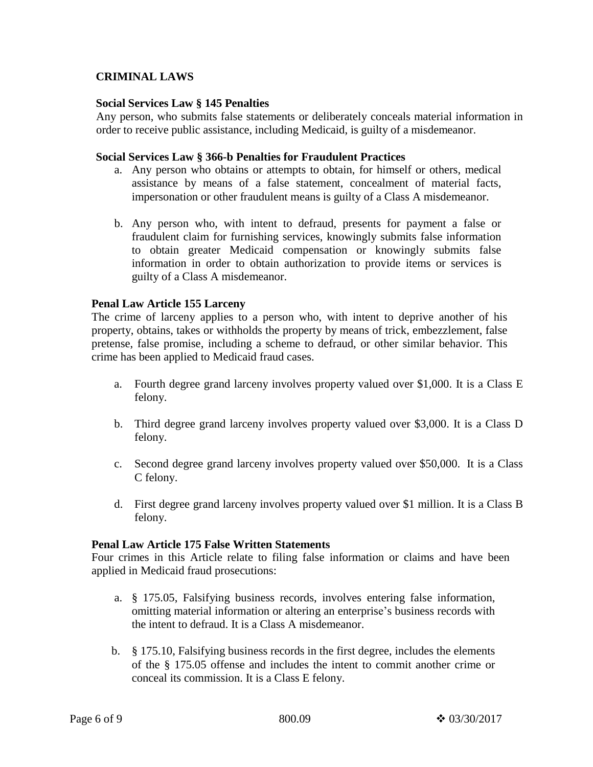## **CRIMINAL LAWS**

#### **Social Services Law § 145 Penalties**

Any person, who submits false statements or deliberately conceals material information in order to receive public assistance, including Medicaid, is guilty of a misdemeanor.

#### **Social Services Law § 366-b Penalties for Fraudulent Practices**

- a. Any person who obtains or attempts to obtain, for himself or others, medical assistance by means of a false statement, concealment of material facts, impersonation or other fraudulent means is guilty of a Class A misdemeanor.
- b. Any person who, with intent to defraud, presents for payment a false or fraudulent claim for furnishing services, knowingly submits false information to obtain greater Medicaid compensation or knowingly submits false information in order to obtain authorization to provide items or services is guilty of a Class A misdemeanor.

#### **Penal Law Article 155 Larceny**

The crime of larceny applies to a person who, with intent to deprive another of his property, obtains, takes or withholds the property by means of trick, embezzlement, false pretense, false promise, including a scheme to defraud, or other similar behavior. This crime has been applied to Medicaid fraud cases.

- a. Fourth degree grand larceny involves property valued over \$1,000. It is a Class E felony.
- b. Third degree grand larceny involves property valued over \$3,000. It is a Class D felony.
- c. Second degree grand larceny involves property valued over \$50,000. It is a Class C felony.
- d. First degree grand larceny involves property valued over \$1 million. It is a Class B felony.

#### **Penal Law Article 175 False Written Statements**

Four crimes in this Article relate to filing false information or claims and have been applied in Medicaid fraud prosecutions:

- a. § 175.05, Falsifying business records, involves entering false information, omitting material information or altering an enterprise's business records with the intent to defraud. It is a Class A misdemeanor.
- b. § 175.10, Falsifying business records in the first degree, includes the elements of the § 175.05 offense and includes the intent to commit another crime or conceal its commission. It is a Class E felony.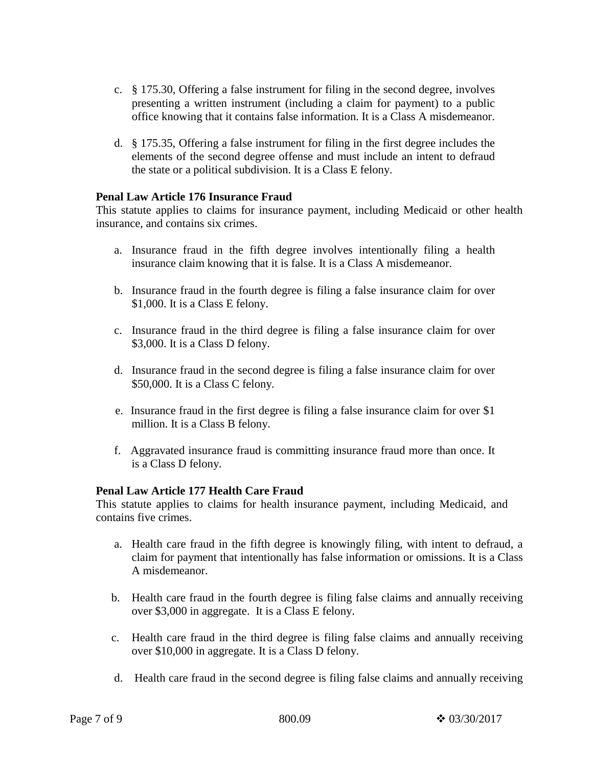- c. § 175.30, Offering a false instrument for filing in the second degree, involves presenting a written instrument (including a claim for payment) to a public office knowing that it contains false information. It is a Class A misdemeanor.
- d. § 175.35, Offering a false instrument for filing in the first degree includes the elements of the second degree offense and must include an intent to defraud the state or a political subdivision. It is a Class E felony.

### **Penal Law Article 176 Insurance Fraud**

This statute applies to claims for insurance payment, including Medicaid or other health insurance, and contains six crimes.

- a. Insurance fraud in the fifth degree involves intentionally filing a health insurance claim knowing that it is false. It is a Class A misdemeanor.
- b. Insurance fraud in the fourth degree is filing a false insurance claim for over \$1,000. It is a Class E felony.
- c. Insurance fraud in the third degree is filing a false insurance claim for over \$3,000. It is a Class D felony.
- d. Insurance fraud in the second degree is filing a false insurance claim for over \$50,000. It is a Class C felony.
- e. Insurance fraud in the first degree is filing a false insurance claim for over \$1 million. It is a Class B felony.
- f. Aggravated insurance fraud is committing insurance fraud more than once. It is a Class D felony.

### **Penal Law Article 177 Health Care Fraud**

This statute applies to claims for health insurance payment, including Medicaid, and contains five crimes.

- a. Health care fraud in the fifth degree is knowingly filing, with intent to defraud, a claim for payment that intentionally has false information or omissions. It is a Class A misdemeanor.
- b. Health care fraud in the fourth degree is filing false claims and annually receiving over \$3,000 in aggregate. It is a Class E felony.
- c. Health care fraud in the third degree is filing false claims and annually receiving over \$10,000 in aggregate. It is a Class D felony.
- d. Health care fraud in the second degree is filing false claims and annually receiving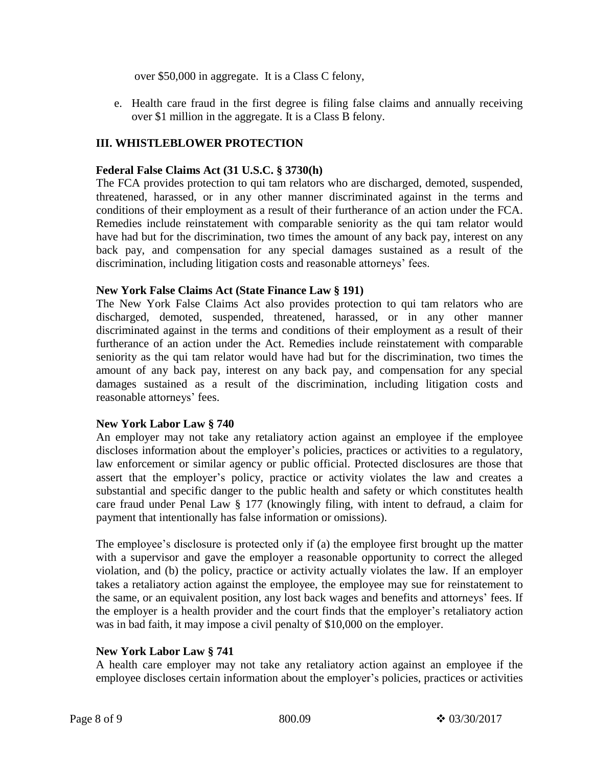over \$50,000 in aggregate. It is a Class C felony,

e. Health care fraud in the first degree is filing false claims and annually receiving over \$1 million in the aggregate. It is a Class B felony.

## **III. WHISTLEBLOWER PROTECTION**

### **Federal False Claims Act (31 U.S.C. § 3730(h)**

The FCA provides protection to qui tam relators who are discharged, demoted, suspended, threatened, harassed, or in any other manner discriminated against in the terms and conditions of their employment as a result of their furtherance of an action under the FCA. Remedies include reinstatement with comparable seniority as the qui tam relator would have had but for the discrimination, two times the amount of any back pay, interest on any back pay, and compensation for any special damages sustained as a result of the discrimination, including litigation costs and reasonable attorneys' fees.

### **New York False Claims Act (State Finance Law § 191)**

The New York False Claims Act also provides protection to qui tam relators who are discharged, demoted, suspended, threatened, harassed, or in any other manner discriminated against in the terms and conditions of their employment as a result of their furtherance of an action under the Act. Remedies include reinstatement with comparable seniority as the qui tam relator would have had but for the discrimination, two times the amount of any back pay, interest on any back pay, and compensation for any special damages sustained as a result of the discrimination, including litigation costs and reasonable attorneys' fees.

### **New York Labor Law § 740**

An employer may not take any retaliatory action against an employee if the employee discloses information about the employer's policies, practices or activities to a regulatory, law enforcement or similar agency or public official. Protected disclosures are those that assert that the employer's policy, practice or activity violates the law and creates a substantial and specific danger to the public health and safety or which constitutes health care fraud under Penal Law § 177 (knowingly filing, with intent to defraud, a claim for payment that intentionally has false information or omissions).

The employee's disclosure is protected only if (a) the employee first brought up the matter with a supervisor and gave the employer a reasonable opportunity to correct the alleged violation, and (b) the policy, practice or activity actually violates the law. If an employer takes a retaliatory action against the employee, the employee may sue for reinstatement to the same, or an equivalent position, any lost back wages and benefits and attorneys' fees. If the employer is a health provider and the court finds that the employer's retaliatory action was in bad faith, it may impose a civil penalty of \$10,000 on the employer.

## **New York Labor Law § 741**

A health care employer may not take any retaliatory action against an employee if the employee discloses certain information about the employer's policies, practices or activities